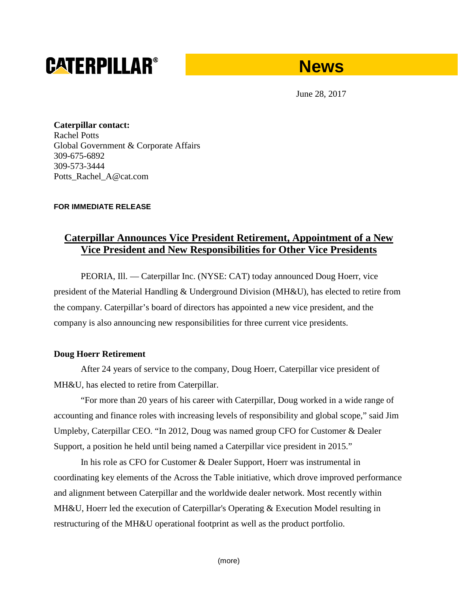# **CATERPILLAR®**

# **News**

June 28, 2017

**Caterpillar contact:** Rachel Potts Global Government & Corporate Affairs 309-675-6892 309-573-3444 Potts\_Rachel\_A@cat.com

## **FOR IMMEDIATE RELEASE**

# **Caterpillar Announces Vice President Retirement, Appointment of a New Vice President and New Responsibilities for Other Vice Presidents**

PEORIA, Ill. — Caterpillar Inc. (NYSE: CAT) today announced Doug Hoerr, vice president of the Material Handling & Underground Division (MH&U), has elected to retire from the company. Caterpillar's board of directors has appointed a new vice president, and the company is also announcing new responsibilities for three current vice presidents.

# **Doug Hoerr Retirement**

After 24 years of service to the company, Doug Hoerr, Caterpillar vice president of MH&U, has elected to retire from Caterpillar.

"For more than 20 years of his career with Caterpillar, Doug worked in a wide range of accounting and finance roles with increasing levels of responsibility and global scope," said Jim Umpleby, Caterpillar CEO. "In 2012, Doug was named group CFO for Customer & Dealer Support, a position he held until being named a Caterpillar vice president in 2015."

In his role as CFO for Customer & Dealer Support, Hoerr was instrumental in coordinating key elements of the Across the Table initiative, which drove improved performance and alignment between Caterpillar and the worldwide dealer network. Most recently within MH&U, Hoerr led the execution of Caterpillar's Operating & Execution Model resulting in restructuring of the MH&U operational footprint as well as the product portfolio.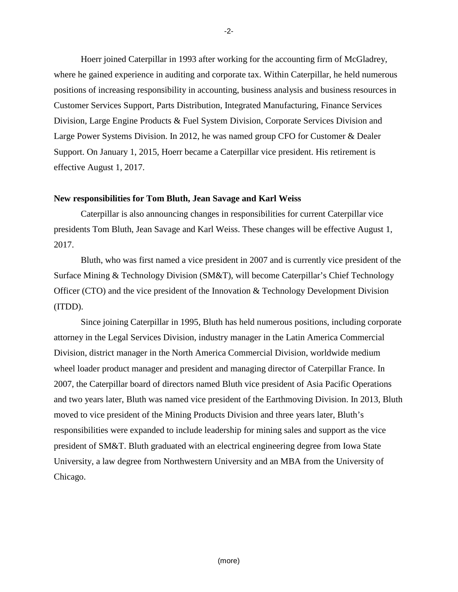Hoerr joined Caterpillar in 1993 after working for the accounting firm of McGladrey, where he gained experience in auditing and corporate tax. Within Caterpillar, he held numerous positions of increasing responsibility in accounting, business analysis and business resources in Customer Services Support, Parts Distribution, Integrated Manufacturing, Finance Services Division, Large Engine Products & Fuel System Division, Corporate Services Division and Large Power Systems Division. In 2012, he was named group CFO for Customer & Dealer Support. On January 1, 2015, Hoerr became a Caterpillar vice president. His retirement is effective August 1, 2017.

### **New responsibilities for Tom Bluth, Jean Savage and Karl Weiss**

Caterpillar is also announcing changes in responsibilities for current Caterpillar vice presidents Tom Bluth, Jean Savage and Karl Weiss. These changes will be effective August 1, 2017.

Bluth, who was first named a vice president in 2007 and is currently vice president of the Surface Mining & Technology Division (SM&T), will become Caterpillar's Chief Technology Officer (CTO) and the vice president of the Innovation & Technology Development Division (ITDD).

Since joining Caterpillar in 1995, Bluth has held numerous positions, including corporate attorney in the Legal Services Division, industry manager in the Latin America Commercial Division, district manager in the North America Commercial Division, worldwide medium wheel loader product manager and president and managing director of Caterpillar France. In 2007, the Caterpillar board of directors named Bluth vice president of Asia Pacific Operations and two years later, Bluth was named vice president of the Earthmoving Division. In 2013, Bluth moved to vice president of the Mining Products Division and three years later, Bluth's responsibilities were expanded to include leadership for mining sales and support as the vice president of SM&T. Bluth graduated with an electrical engineering degree from Iowa State University, a law degree from Northwestern University and an MBA from the University of Chicago.

-2-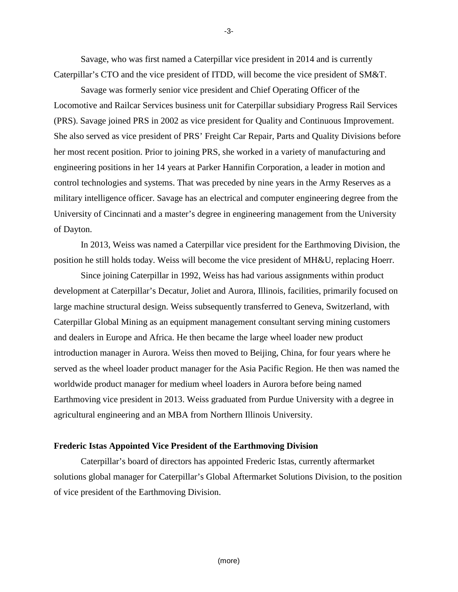Savage, who was first named a Caterpillar vice president in 2014 and is currently Caterpillar's CTO and the vice president of ITDD, will become the vice president of SM&T.

Savage was formerly senior vice president and Chief Operating Officer of the Locomotive and Railcar Services business unit for Caterpillar subsidiary Progress Rail Services (PRS). Savage joined PRS in 2002 as vice president for Quality and Continuous Improvement. She also served as vice president of PRS' Freight Car Repair, Parts and Quality Divisions before her most recent position. Prior to joining PRS, she worked in a variety of manufacturing and engineering positions in her 14 years at Parker Hannifin Corporation, a leader in motion and control technologies and systems. That was preceded by nine years in the Army Reserves as a military intelligence officer. Savage has an electrical and computer engineering degree from the University of Cincinnati and a master's degree in engineering management from the University of Dayton.

In 2013, Weiss was named a Caterpillar vice president for the Earthmoving Division, the position he still holds today. Weiss will become the vice president of MH&U, replacing Hoerr.

Since joining Caterpillar in 1992, Weiss has had various assignments within product development at Caterpillar's Decatur, Joliet and Aurora, Illinois, facilities, primarily focused on large machine structural design. Weiss subsequently transferred to Geneva, Switzerland, with Caterpillar Global Mining as an equipment management consultant serving mining customers and dealers in Europe and Africa. He then became the large wheel loader new product introduction manager in Aurora. Weiss then moved to Beijing, China, for four years where he served as the wheel loader product manager for the Asia Pacific Region. He then was named the worldwide product manager for medium wheel loaders in Aurora before being named Earthmoving vice president in 2013. Weiss graduated from Purdue University with a degree in agricultural engineering and an MBA from Northern Illinois University.

#### **Frederic Istas Appointed Vice President of the Earthmoving Division**

Caterpillar's board of directors has appointed Frederic Istas, currently aftermarket solutions global manager for Caterpillar's Global Aftermarket Solutions Division, to the position of vice president of the Earthmoving Division.

-3-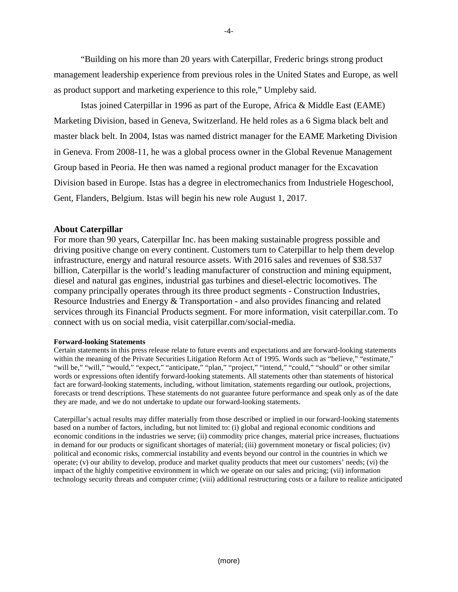"Building on his more than 20 years with Caterpillar, Frederic brings strong product management leadership experience from previous roles in the United States and Europe, as well as product support and marketing experience to this role," Umpleby said.

Istas joined Caterpillar in 1996 as part of the Europe, Africa & Middle East (EAME) Marketing Division, based in Geneva, Switzerland. He held roles as a 6 Sigma black belt and master black belt. In 2004, Istas was named district manager for the EAME Marketing Division in Geneva. From 2008-11, he was a global process owner in the Global Revenue Management Group based in Peoria. He then was named a regional product manager for the Excavation Division based in Europe. Istas has a degree in electromechanics from Industriele Hogeschool, Gent, Flanders, Belgium. Istas will begin his new role August 1, 2017.

#### **About Caterpillar**

For more than 90 years, Caterpillar Inc. has been making sustainable progress possible and driving positive change on every continent. Customers turn to Caterpillar to help them develop infrastructure, energy and natural resource assets. With 2016 sales and revenues of \$38.537 billion, Caterpillar is the world's leading manufacturer of construction and mining equipment, diesel and natural gas engines, industrial gas turbines and diesel-electric locomotives. The company principally operates through its three product segments - Construction Industries, Resource Industries and Energy & Transportation - and also provides financing and related services through its Financial Products segment. For more information, visit caterpillar.com. To connect with us on social media, visit caterpillar.com/social-media.

#### **Forward-looking Statements**

Certain statements in this press release relate to future events and expectations and are forward-looking statements within the meaning of the Private Securities Litigation Reform Act of 1995. Words such as "believe," "estimate," "will be," "will," "would," "expect," "anticipate," "plan," "project," "intend," "could," "should" or other similar words or expressions often identify forward-looking statements. All statements other than statements of historical fact are forward-looking statements, including, without limitation, statements regarding our outlook, projections, forecasts or trend descriptions. These statements do not guarantee future performance and speak only as of the date they are made, and we do not undertake to update our forward-looking statements.

Caterpillar's actual results may differ materially from those described or implied in our forward-looking statements based on a number of factors, including, but not limited to: (i) global and regional economic conditions and economic conditions in the industries we serve; (ii) commodity price changes, material price increases, fluctuations in demand for our products or significant shortages of material; (iii) government monetary or fiscal policies; (iv) political and economic risks, commercial instability and events beyond our control in the countries in which we operate; (v) our ability to develop, produce and market quality products that meet our customers' needs; (vi) the impact of the highly competitive environment in which we operate on our sales and pricing; (vii) information technology security threats and computer crime; (viii) additional restructuring costs or a failure to realize anticipated

-4-